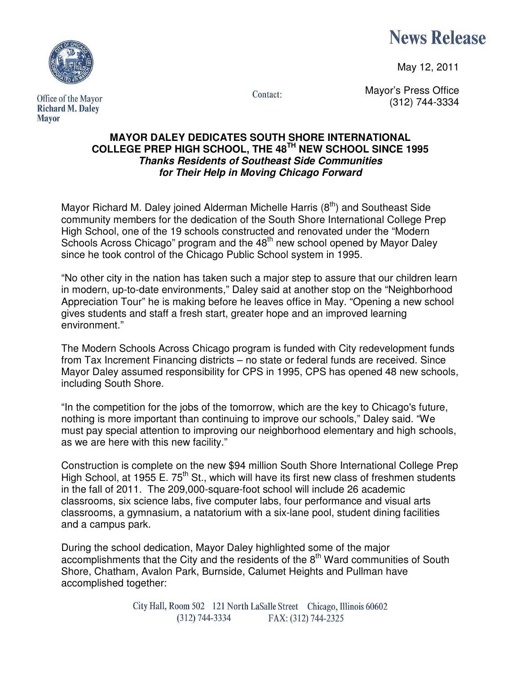

May 12, 2011



Office of the Mayor **Richard M. Daley Mayor** 

Contact:

Mayor's Press Office (312) 744-3334

## **MAYOR DALEY DEDICATES SOUTH SHORE INTERNATIONAL COLLEGE PREP HIGH SCHOOL, THE 48TH NEW SCHOOL SINCE 1995 Thanks Residents of Southeast Side Communities for Their Help in Moving Chicago Forward**

Mayor Richard M. Daley joined Alderman Michelle Harris  $(8<sup>th</sup>)$  and Southeast Side community members for the dedication of the South Shore International College Prep High School, one of the 19 schools constructed and renovated under the "Modern Schools Across Chicago" program and the 48<sup>th</sup> new school opened by Mayor Daley since he took control of the Chicago Public School system in 1995.

"No other city in the nation has taken such a major step to assure that our children learn in modern, up-to-date environments," Daley said at another stop on the "Neighborhood Appreciation Tour" he is making before he leaves office in May. "Opening a new school gives students and staff a fresh start, greater hope and an improved learning environment."

The Modern Schools Across Chicago program is funded with City redevelopment funds from Tax Increment Financing districts – no state or federal funds are received. Since Mayor Daley assumed responsibility for CPS in 1995, CPS has opened 48 new schools, including South Shore.

"In the competition for the jobs of the tomorrow, which are the key to Chicago's future, nothing is more important than continuing to improve our schools," Daley said. "We must pay special attention to improving our neighborhood elementary and high schools, as we are here with this new facility."

Construction is complete on the new \$94 million South Shore International College Prep High School, at 1955 E.  $75<sup>th</sup>$  St., which will have its first new class of freshmen students in the fall of 2011. The 209,000-square-foot school will include 26 academic classrooms, six science labs, five computer labs, four performance and visual arts classrooms, a gymnasium, a natatorium with a six-lane pool, student dining facilities and a campus park.

During the school dedication, Mayor Daley highlighted some of the major accomplishments that the City and the residents of the  $8<sup>th</sup>$  Ward communities of South Shore, Chatham, Avalon Park, Burnside, Calumet Heights and Pullman have accomplished together:

> City Hall, Room 502 121 North LaSalle Street Chicago, Illinois 60602  $(312) 744 - 3334$ FAX: (312) 744-2325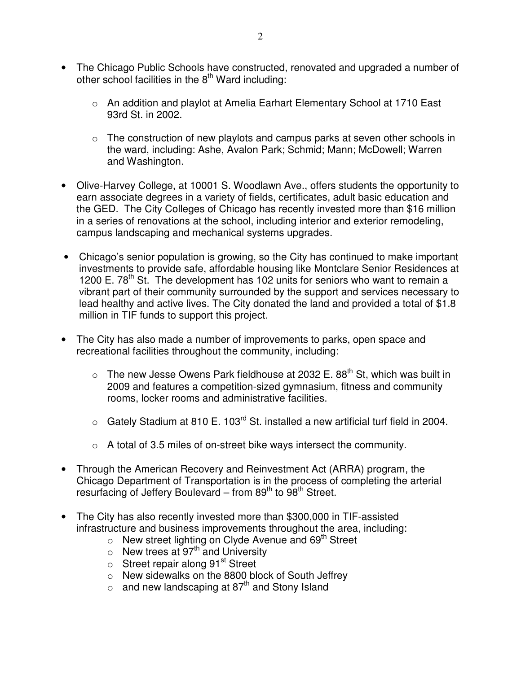- The Chicago Public Schools have constructed, renovated and upgraded a number of other school facilities in the  $8<sup>th</sup>$  Ward including:
	- o An addition and playlot at Amelia Earhart Elementary School at 1710 East 93rd St. in 2002.
	- $\circ$  The construction of new playlots and campus parks at seven other schools in the ward, including: Ashe, Avalon Park; Schmid; Mann; McDowell; Warren and Washington.
- Olive-Harvey College, at 10001 S. Woodlawn Ave., offers students the opportunity to earn associate degrees in a variety of fields, certificates, adult basic education and the GED. The City Colleges of Chicago has recently invested more than \$16 million in a series of renovations at the school, including interior and exterior remodeling, campus landscaping and mechanical systems upgrades.
- Chicago's senior population is growing, so the City has continued to make important investments to provide safe, affordable housing like Montclare Senior Residences at 1200 E.  $78<sup>th</sup>$  St. The development has 102 units for seniors who want to remain a vibrant part of their community surrounded by the support and services necessary to lead healthy and active lives. The City donated the land and provided a total of \$1.8 million in TIF funds to support this project.
- The City has also made a number of improvements to parks, open space and recreational facilities throughout the community, including:
	- $\circ$  The new Jesse Owens Park fieldhouse at 2032 E. 88<sup>th</sup> St, which was built in 2009 and features a competition-sized gymnasium, fitness and community rooms, locker rooms and administrative facilities.
	- $\circ$  Gately Stadium at 810 E. 103<sup>rd</sup> St. installed a new artificial turf field in 2004.
	- $\circ$  A total of 3.5 miles of on-street bike ways intersect the community.
- Through the American Recovery and Reinvestment Act (ARRA) program, the Chicago Department of Transportation is in the process of completing the arterial resurfacing of Jeffery Boulevard – from  $89<sup>th</sup>$  to  $98<sup>th</sup>$  Street.
- The City has also recently invested more than \$300,000 in TIF-assisted infrastructure and business improvements throughout the area, including:
	- $\circ$  New street lighting on Clyde Avenue and 69<sup>th</sup> Street
	- $\circ$  New trees at 97<sup>th</sup> and University
	- $\circ$  Street repair along 91<sup>st</sup> Street
	- o New sidewalks on the 8800 block of South Jeffrey
	- $\circ$  and new landscaping at 87<sup>th</sup> and Stony Island